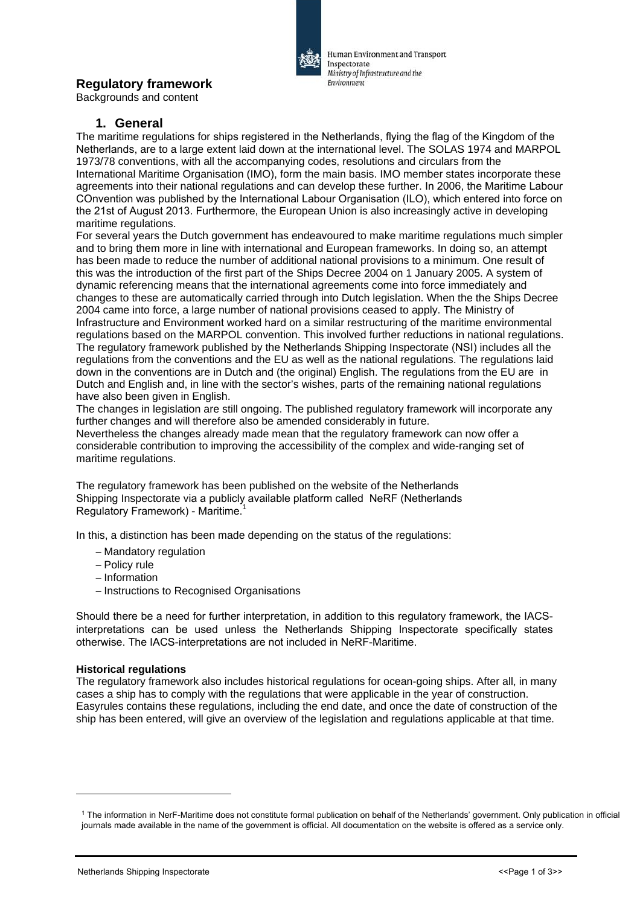# **Regulatory framework**

Backgrounds and content

## **1. General**

The maritime regulations for ships registered in the Netherlands, flying the flag of the Kingdom of the Netherlands, are to a large extent laid down at the international level. The SOLAS 1974 and MARPOL 1973/78 conventions, with all the accompanying codes, resolutions and circulars from the International Maritime Organisation (IMO), form the main basis. IMO member states incorporate these agreements into their national regulations and can develop these further. In 2006, the Maritime Labour COnvention was published by the International Labour Organisation (ILO), which entered into force on the 21st of August 2013. Furthermore, the European Union is also increasingly active in developing maritime regulations.

For several years the Dutch government has endeavoured to make maritime regulations much simpler and to bring them more in line with international and European frameworks. In doing so, an attempt has been made to reduce the number of additional national provisions to a minimum. One result of this was the introduction of the first part of the Ships Decree 2004 on 1 January 2005. A system of dynamic referencing means that the international agreements come into force immediately and changes to these are automatically carried through into Dutch legislation. When the the Ships Decree 2004 came into force, a large number of national provisions ceased to apply. The Ministry of Infrastructure and Environment worked hard on a similar restructuring of the maritime environmental regulations based on the MARPOL convention. This involved further reductions in national regulations. The regulatory framework published by the Netherlands Shipping Inspectorate (NSI) includes all the regulations from the conventions and the EU as well as the national regulations. The regulations laid down in the conventions are in Dutch and (the original) English. The regulations from the EU are in Dutch and English and, in line with the sector's wishes, parts of the remaining national regulations have also been given in English.

The changes in legislation are still ongoing. The published regulatory framework will incorporate any further changes and will therefore also be amended considerably in future.

Nevertheless the changes already made mean that the regulatory framework can now offer a considerable contribution to improving the accessibility of the complex and wide-ranging set of maritime regulations.

The regulatory framework has been published on the website of the Netherlands Shipping Inspectorate via a publicly available platform called NeRF (Netherlands Regulatory Framework) - Maritime.<sup>1</sup>

In this, a distinction has been made depending on the status of the regulations:

- − Mandatory regulation
- − Policy rule
- − Information
- − Instructions to Recognised Organisations

Should there be a need for further interpretation, in addition to this regulatory framework, the IACSinterpretations can be used unless the Netherlands Shipping Inspectorate specifically states otherwise. The IACS-interpretations are not included in NeRF-Maritime.

#### **Historical regulations**

The regulatory framework also includes historical regulations for ocean-going ships. After all, in many cases a ship has to comply with the regulations that were applicable in the year of construction. Easyrules contains these regulations, including the end date, and once the date of construction of the ship has been entered, will give an overview of the legislation and regulations applicable at that time.



Human Environment and Transport

Ministry of Infrastructure and the

Inspectorate

Environment

<sup>1</sup> The information in NerF-Maritime does not constitute formal publication on behalf of the Netherlands' government. Only publication in official journals made available in the name of the government is official. All documentation on the website is offered as a service only.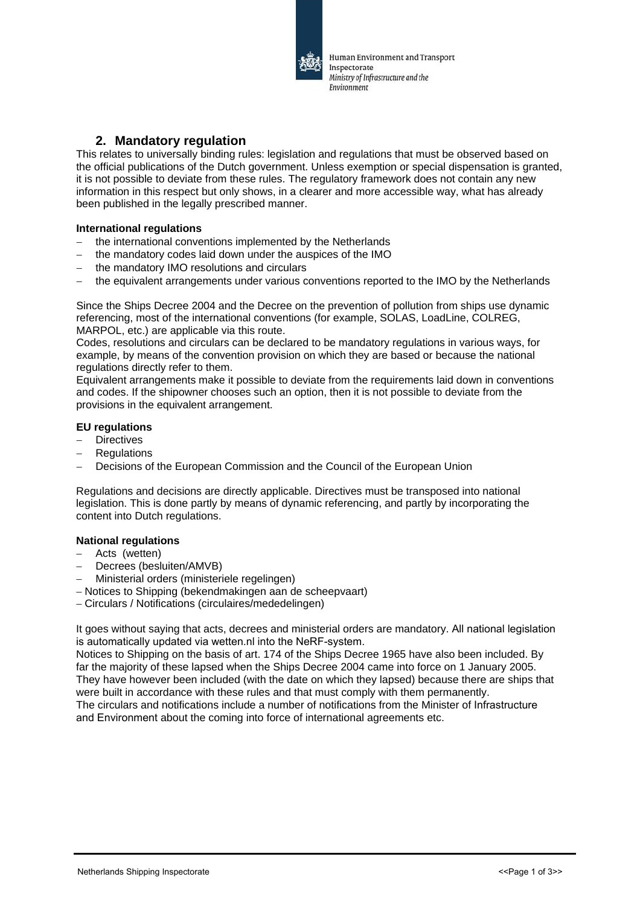

## **2. Mandatory regulation**

This relates to universally binding rules: legislation and regulations that must be observed based on the official publications of the Dutch government. Unless exemption or special dispensation is granted, it is not possible to deviate from these rules. The regulatory framework does not contain any new information in this respect but only shows, in a clearer and more accessible way, what has already been published in the legally prescribed manner.

#### **International regulations**

- the international conventions implemented by the Netherlands
- the mandatory codes laid down under the auspices of the IMO
- the mandatory IMO resolutions and circulars
- the equivalent arrangements under various conventions reported to the IMO by the Netherlands

Since the Ships Decree 2004 and the Decree on the prevention of pollution from ships use dynamic referencing, most of the international conventions (for example, SOLAS, LoadLine, COLREG, MARPOL, etc.) are applicable via this route.

Codes, resolutions and circulars can be declared to be mandatory regulations in various ways, for example, by means of the convention provision on which they are based or because the national regulations directly refer to them.

Equivalent arrangements make it possible to deviate from the requirements laid down in conventions and codes. If the shipowner chooses such an option, then it is not possible to deviate from the provisions in the equivalent arrangement.

#### **EU regulations**

- Directives
- − Regulations
- Decisions of the European Commission and the Council of the European Union

Regulations and decisions are directly applicable. Directives must be transposed into national legislation. This is done partly by means of dynamic referencing, and partly by incorporating the content into Dutch regulations.

### **National regulations**

- − Acts (wetten)
- Decrees (besluiten/AMVB)
- − Ministerial orders (ministeriele regelingen)
- − Notices to Shipping (bekendmakingen aan de scheepvaart)
- − Circulars / Notifications (circulaires/mededelingen)

It goes without saying that acts, decrees and ministerial orders are mandatory. All national legislation is automatically updated via wetten.nl into the NeRF-system.

Notices to Shipping on the basis of art. 174 of the Ships Decree 1965 have also been included. By far the majority of these lapsed when the Ships Decree 2004 came into force on 1 January 2005. They have however been included (with the date on which they lapsed) because there are ships that were built in accordance with these rules and that must comply with them permanently. The circulars and notifications include a number of notifications from the Minister of Infrastructure and Environment about the coming into force of international agreements etc.